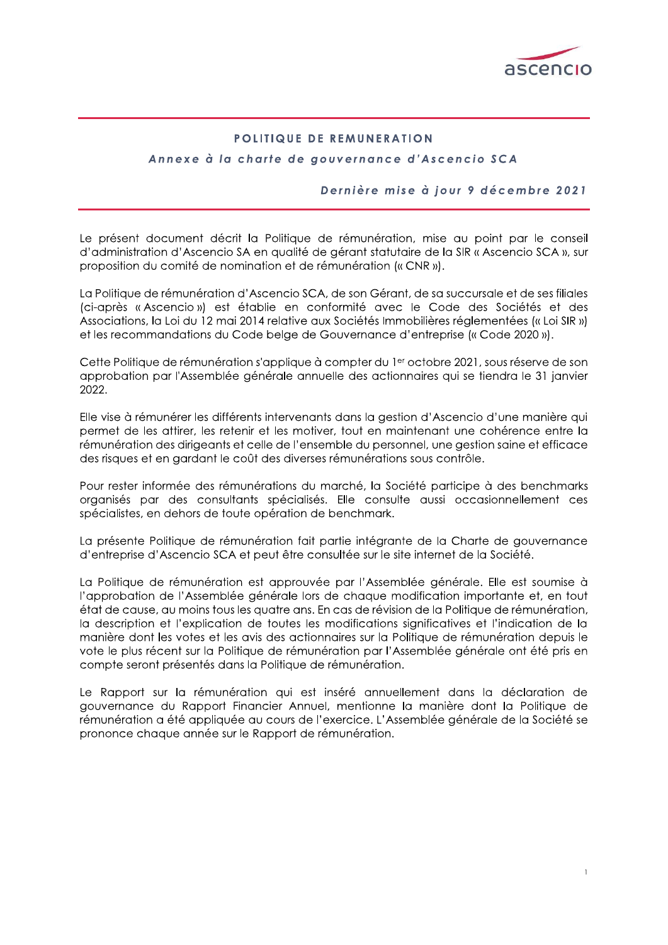

# POLITIQUE DE REMUNERATION

# Annexe à la charte de gouvernance d'Ascencio SCA

## Dernière mise à jour 9 décembre 2021

Le présent document décrit la Politique de rémunération, mise au point par le conseil d'administration d'Ascencio SA en qualité de gérant statutaire de la SIR « Ascencio SCA », sur proposition du comité de nomination et de rémunération (« CNR »).

La Politique de rémunération d'Ascencio SCA, de son Gérant, de sa succursale et de ses filiales (ci-après « Ascencio ») est établie en conformité avec le Code des Sociétés et des Associations, la Loi du 12 mai 2014 relative aux Sociétés Immobilières réglementées (« Loi SIR ») et les recommandations du Code belge de Gouvernance d'entreprise (« Code 2020 »).

Cette Politique de rémunération s'applique à compter du 1<sup>er</sup> octobre 2021, sous réserve de son approbation par l'Assemblée générale annuelle des actionnaires qui se tiendra le 31 janvier 2022.

Elle vise à rémunérer les différents intervenants dans la gestion d'Ascencio d'une manière qui permet de les attirer, les retenir et les motiver, tout en maintenant une cohérence entre la rémunération des dirigeants et celle de l'ensemble du personnel, une gestion saine et efficace des risques et en gardant le coût des diverses rémunérations sous contrôle.

Pour rester informée des rémunérations du marché, la Société participe à des benchmarks organisés par des consultants spécialisés. Elle consulte aussi occasionnellement ces spécialistes, en dehors de toute opération de benchmark.

La présente Politique de rémunération fait partie intégrante de la Charte de gouvernance d'entreprise d'Ascencio SCA et peut être consultée sur le site internet de la Société.

La Politique de rémunération est approuvée par l'Assemblée générale. Elle est soumise à l'approbation de l'Assemblée générale lors de chaque modification importante et, en tout état de cause, au moins tous les quatre ans. En cas de révision de la Politique de rémunération, la description et l'explication de toutes les modifications significatives et l'indication de la manière dont les votes et les avis des actionnaires sur la Politique de rémunération depuis le vote le plus récent sur la Politique de rémunération par l'Assemblée générale ont été pris en compte seront présentés dans la Politique de rémunération.

Le Rapport sur la rémunération qui est inséré annuellement dans la déclaration de gouvernance du Rapport Financier Annuel, mentionne la manière dont la Politique de rémunération a été appliquée au cours de l'exercice. L'Assemblée générale de la Société se prononce chaque année sur le Rapport de rémunération.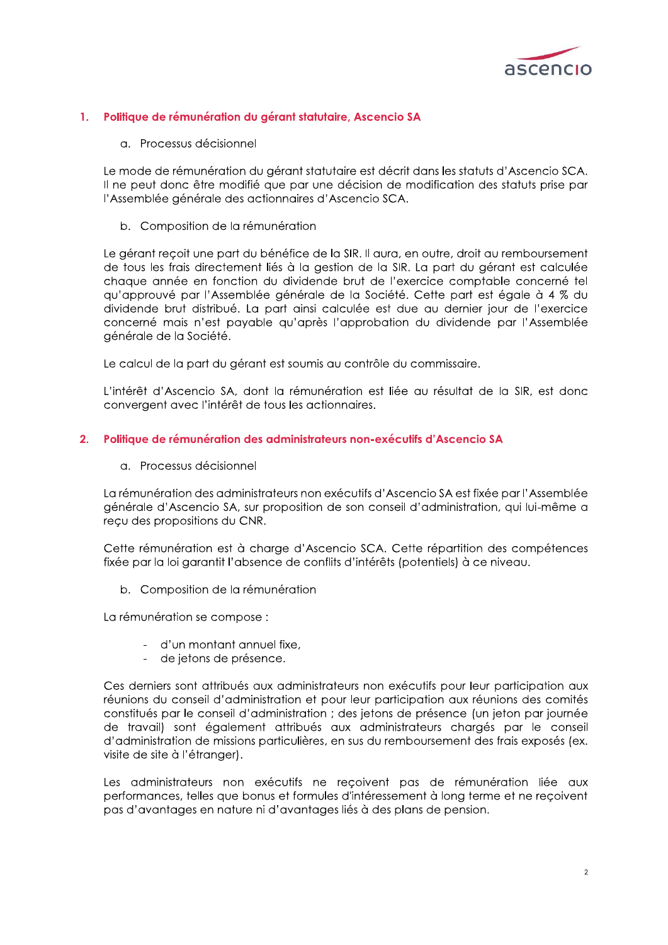

#### Politique de rémunération du gérant statutaire, Ascencio SA 1.

a. Processus décisionnel

Le mode de rémunération du gérant statutaire est décrit dans les statuts d'Ascencio SCA. Il ne peut donc être modifié que par une décision de modification des statuts prise par l'Assemblée générale des actionnaires d'Ascencio SCA.

b. Composition de la rémunération

Le gérant recoit une part du bénéfice de la SIR. Il aura, en outre, droit au remboursement de tous les frais directement liés à la gestion de la SIR. La part du gérant est calculée chaque année en fonction du dividende brut de l'exercice comptable concerné tel qu'approuvé par l'Assemblée générale de la Société. Cette part est égale à 4 % du dividende brut distribué. La part ainsi calculée est due au dernier jour de l'exercice concerné mais n'est payable qu'après l'approbation du dividende par l'Assemblée générale de la Société.

Le calcul de la part du gérant est soumis au contrôle du commissaire.

L'intérêt d'Ascencio SA, dont la rémunération est liée au résultat de la SIR, est donc convergent avec l'intérêt de tous les actionnaires.

### 2. Politique de rémunération des administrateurs non-exécutifs d'Ascencio SA

a. Processus décisionnel

La rémunération des administrateurs non exécutifs d'Ascencio SA est fixée par l'Assemblée générale d'Ascencio SA, sur proposition de son conseil d'administration, qui lui-même a reçu des propositions du CNR.

Cette rémunération est à charge d'Ascencio SCA. Cette répartition des compétences fixée par la loi garantit l'absence de conflits d'intérêts (potentiels) à ce niveau.

b. Composition de la rémunération

La rémunération se compose :

- d'un montant annuel fixe,
- de jetons de présence.

Ces derniers sont attribués aux administrateurs non exécutifs pour leur participation aux réunions du conseil d'administration et pour leur participation aux réunions des comités constitués par le conseil d'administration ; des jetons de présence (un jeton par journée de travail) sont également attribués aux administrateurs chargés par le conseil d'administration de missions particulières, en sus du remboursement des frais exposés (ex. visite de site à l'étranger).

Les administrateurs non exécutifs ne reçoivent pas de rémunération liée aux performances, telles que bonus et formules d'intéressement à long terme et ne reçoivent pas d'avantages en nature ni d'avantages liés à des plans de pension.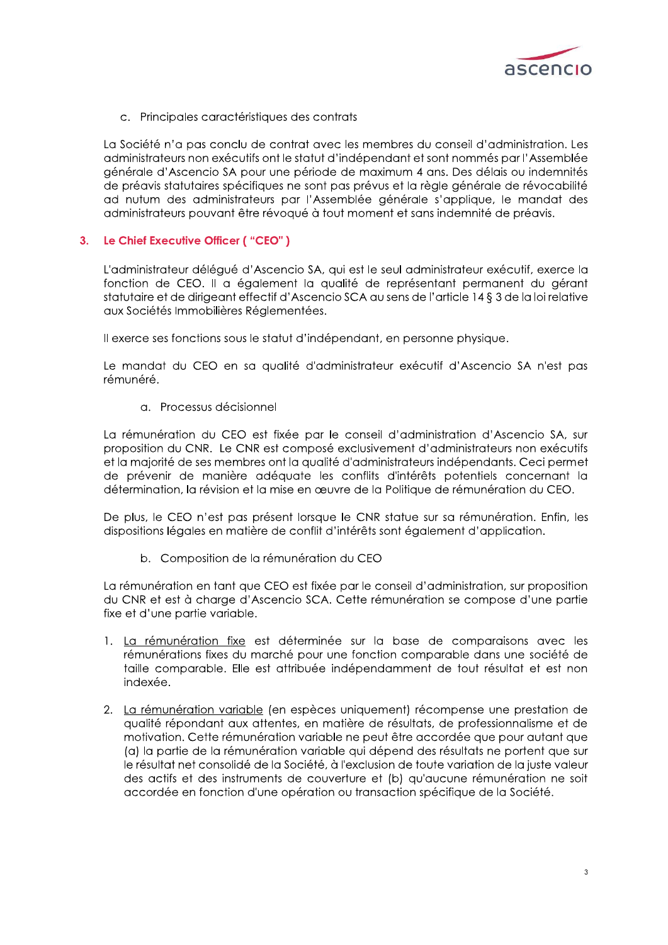

c. Principales caractéristiques des contrats

La Société n'a pas conclu de contrat avec les membres du conseil d'administration. Les administrateurs non exécutifs ont le statut d'indépendant et sont nommés par l'Assemblée générale d'Ascencio SA pour une période de maximum 4 ans. Des délais ou indemnités de préavis statutaires spécifiques ne sont pas prévus et la règle générale de révocabilité ad nutum des administrateurs par l'Assemblée générale s'applique, le mandat des administrateurs pouvant être révoqué à tout moment et sans indemnité de préavis.

#### Le Chief Executive Officer ("CEO")  $3.$

L'administrateur délégué d'Ascencio SA, qui est le seul administrateur exécutif, exerce la fonction de CEO. Il a également la qualité de représentant permanent du gérant statutaire et de dirigeant effectif d'Ascencio SCA au sens de l'article 14 § 3 de la loi relative aux Sociétés Immobilières Réglementées.

Il exerce ses fonctions sous le statut d'indépendant, en personne physique.

Le mandat du CEO en sa qualité d'administrateur exécutif d'Ascencio SA n'est pas rémunéré.

a. Processus décisionnel

La rémunération du CEO est fixée par le conseil d'administration d'Ascencio SA, sur proposition du CNR. Le CNR est composé exclusivement d'administrateurs non exécutifs et la majorité de ses membres ont la qualité d'administrateurs indépendants. Ceci permet de prévenir de manière adéquate les conflits d'intérêts potentiels concernant la détermination, la révision et la mise en œuvre de la Politique de rémunération du CEO.

De plus, le CEO n'est pas présent lorsque le CNR statue sur sa rémunération. Enfin, les dispositions légales en matière de conflit d'intérêts sont également d'application.

b. Composition de la rémunération du CEO

La rémunération en tant que CEO est fixée par le conseil d'administration, sur proposition du CNR et est à charge d'Ascencio SCA. Cette rémunération se compose d'une partie fixe et d'une partie variable.

- 1. La rémunération fixe est déterminée sur la base de comparaisons avec les rémunérations fixes du marché pour une fonction comparable dans une société de taille comparable. Elle est attribuée indépendamment de tout résultat et est non indexée.
- 2. La rémunération variable (en espèces uniquement) récompense une prestation de qualité répondant aux attentes, en matière de résultats, de professionnalisme et de motivation. Cette rémunération variable ne peut être accordée que pour autant que (a) la partie de la rémunération variable qui dépend des résultats ne portent que sur le résultat net consolidé de la Société, à l'exclusion de toute variation de la juste valeur des actifs et des instruments de couverture et (b) qu'aucune rémunération ne soit accordée en fonction d'une opération ou transaction spécifique de la Société.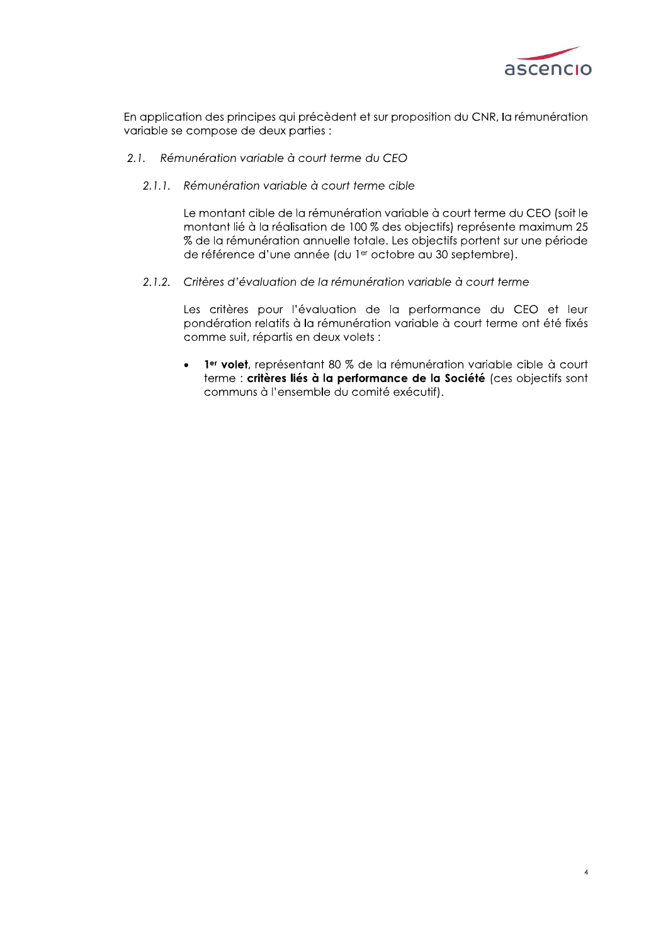

En application des principes qui précèdent et sur proposition du CNR, la rémunération variable se compose de deux parties :

- 2.1. Rémunération variable à court terme du CFO
	- 2.1.1. Rémunération variable à court terme cible

Le montant cible de la rémunération variable à court terme du CEO (soit le montant lié à la réalisation de 100 % des objectifs) représente maximum 25 % de la rémunération annuelle totale. Les objectifs portent sur une période de référence d'une année (du 1er octobre au 30 septembre).

2.1.2. Critères d'évaluation de la rémunération variable à court terme

Les critères pour l'évaluation de la performance du CEO et leur pondération relatifs à la rémunération variable à court terme ont été fixés comme suit, répartis en deux volets :

1<sup>er</sup> volet, représentant 80 % de la rémunération variable cible à court terme : critères liés à la performance de la Société (ces objectifs sont communs à l'ensemble du comité exécutif).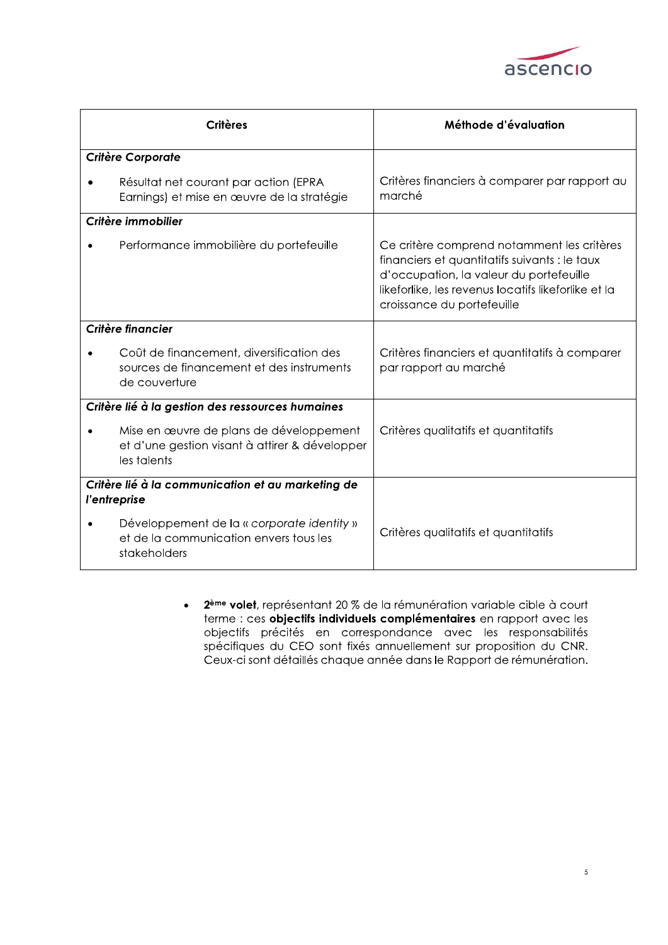

|                    | <b>Critères</b>                                                                                          | Méthode d'évaluation                                                                                                                                                                                                        |
|--------------------|----------------------------------------------------------------------------------------------------------|-----------------------------------------------------------------------------------------------------------------------------------------------------------------------------------------------------------------------------|
|                    | <b>Critère Corporate</b>                                                                                 |                                                                                                                                                                                                                             |
|                    | Résultat net courant par action (EPRA<br>Earnings) et mise en œuvre de la stratégie                      | Critères financiers à comparer par rapport au<br>marché                                                                                                                                                                     |
| Critère immobilier |                                                                                                          |                                                                                                                                                                                                                             |
|                    | Performance immobilière du portefeuille                                                                  | Ce critère comprend notamment les critères<br>financiers et quantitatifs suivants : le taux<br>d'occupation, la valeur du portefeuille<br>likeforlike, les revenus locatifs likeforlike et la<br>croissance du portefeuille |
| Critère financier  |                                                                                                          |                                                                                                                                                                                                                             |
|                    | Coût de financement, diversification des<br>sources de financement et des instruments<br>de couverture   | Critères financiers et quantitatifs à comparer<br>par rapport au marché                                                                                                                                                     |
|                    | Critère lié à la gestion des ressources humaines                                                         |                                                                                                                                                                                                                             |
|                    | Mise en œuvre de plans de développement<br>et d'une gestion visant à attirer & développer<br>les talents | Critères qualitatifs et quantitatifs                                                                                                                                                                                        |
|                    | Critère lié à la communication et au marketing de                                                        |                                                                                                                                                                                                                             |
|                    | l'entreprise                                                                                             |                                                                                                                                                                                                                             |
|                    | Développement de la « corporate identity »<br>et de la communication envers tous les<br>stakeholders     | Critères qualitatifs et quantitatifs                                                                                                                                                                                        |

2<sup>ème</sup> volet, représentant 20 % de la rémunération variable cible à court  $\bullet$ terme : ces objectifs individuels complémentaires en rapport avec les objectifs précités en correspondance avec les responsabilités spécifiques du CEO sont fixés annuellement sur proposition du CNR. Ceux-ci sont détaillés chaque année dans le Rapport de rémunération.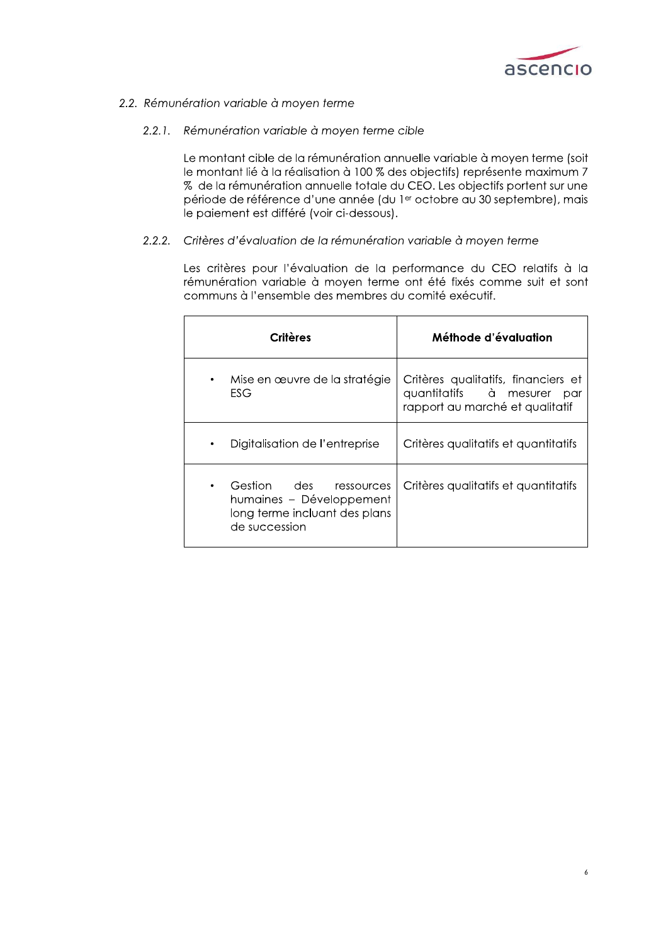

# 2.2. Rémunération variable à moyen terme

## 2.2.1. Rémunération variable à moyen terme cible

Le montant cible de la rémunération annuelle variable à moyen terme (soit le montant lié à la réalisation à 100 % des objectifs) représente maximum 7 % de la rémunération annuelle totale du CEO. Les objectifs portent sur une période de référence d'une année (du le octobre au 30 septembre), mais le paiement est différé (voir ci-dessous).

#### $2.2.2.$ Critères d'évaluation de la rémunération variable à moyen terme

Les critères pour l'évaluation de la performance du CEO relatifs à la rémunération variable à moyen terme ont été fixés comme suit et sont communs à l'ensemble des membres du comité exécutif.

| Critères                                                                                                             | Méthode d'évaluation                                                                                    |
|----------------------------------------------------------------------------------------------------------------------|---------------------------------------------------------------------------------------------------------|
| Mise en œuvre de la stratégie<br>$\bullet$<br>ESG                                                                    | Critères qualitatifs, financiers et<br>quantitatifs à mesurer<br>par<br>rapport au marché et qualitatif |
| Digitalisation de l'entreprise<br>٠                                                                                  | Critères qualitatifs et quantitatifs                                                                    |
| Gestion des<br>ressources<br>$\bullet$<br>humaines - Développement<br>long terme incluant des plans<br>de succession | Critères qualitatifs et quantitatifs                                                                    |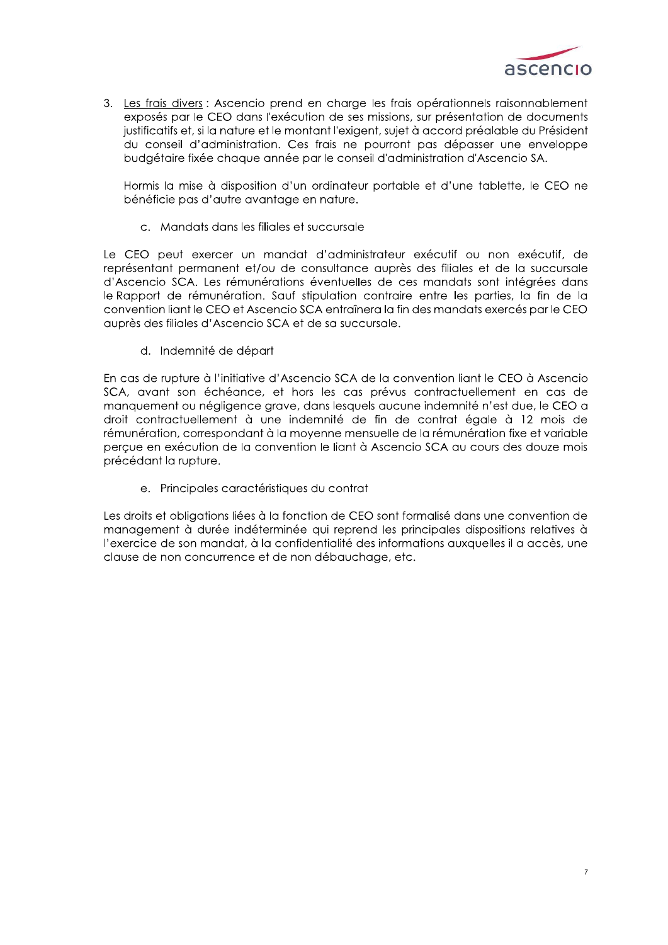

3. Les frais divers : Ascencio prend en charge les frais opérationnels raisonnablement exposés par le CEO dans l'exécution de ses missions, sur présentation de documents justificatifs et, si la nature et le montant l'exigent, sujet à accord préalable du Président du conseil d'administration. Ces frais ne pourront pas dépasser une enveloppe budgétaire fixée chaque année par le conseil d'administration d'Ascencio SA.

Hormis la mise à disposition d'un ordinateur portable et d'une tablette, le CEO ne bénéficie pas d'autre avantage en nature.

c. Mandats dans les filiales et succursale

Le CEO peut exercer un mandat d'administrateur exécutif ou non exécutif, de représentant permanent et/ou de consultance auprès des filiales et de la succursale d'Ascencio SCA. Les rémunérations éventuelles de ces mandats sont intégrées dans le Rapport de rémunération. Sauf stipulation contraire entre les parties, la fin de la convention liant le CEO et Ascencio SCA entraînera la fin des mandats exercés par le CEO auprès des filiales d'Ascencio SCA et de sa succursale.

d. Indemnité de départ

En cas de rupture à l'initiative d'Ascencio SCA de la convention liant le CEO à Ascencio SCA, avant son échéance, et hors les cas prévus contractuellement en cas de manquement ou négligence grave, dans lesquels aucune indemnité n'est due, le CEO a droit contractuellement à une indemnité de fin de contrat égale à 12 mois de rémunération, correspondant à la moyenne mensuelle de la rémunération fixe et variable percue en exécution de la convention le liant à Ascencio SCA au cours des douze mois précédant la rupture.

e. Principales caractéristiques du contrat

Les droits et obligations liées à la fonction de CEO sont formalisé dans une convention de management à durée indéterminée qui reprend les principales dispositions relatives à l'exercice de son mandat, à la confidentialité des informations auxquelles il a accès, une clause de non concurrence et de non débauchage, etc.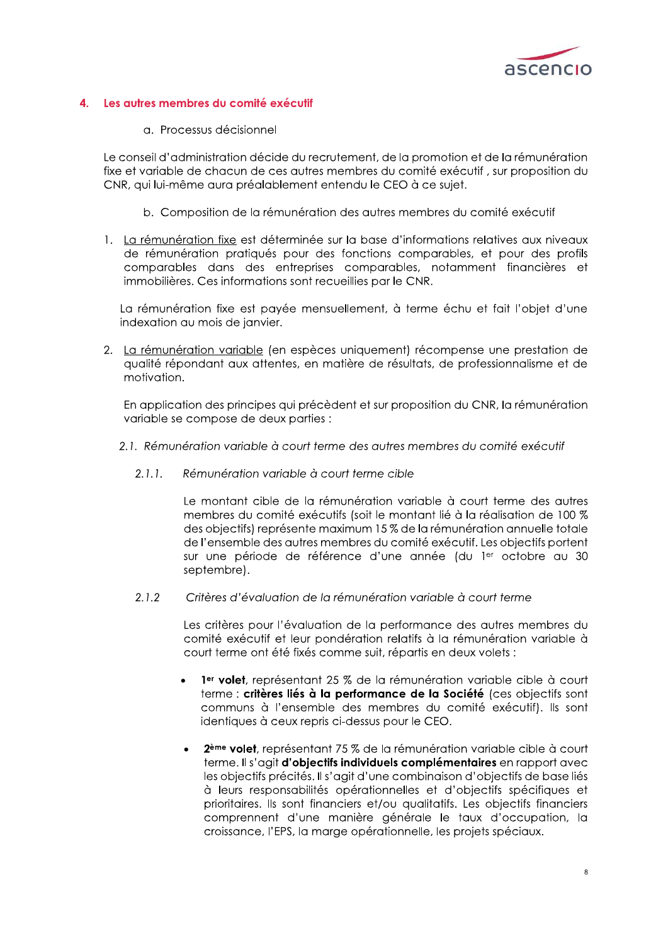

#### Les autres membres du comité exécutif  $\blacktriangle$

a. Processus décisionnel

Le conseil d'administration décide du recrutement, de la promotion et de la rémunération fixe et variable de chacun de ces autres membres du comité exécutif, sur proposition du CNR, qui lui-même aura préalablement entendu le CEO à ce sujet.

- b. Composition de la rémunération des autres membres du comité exécutif
- 1. La rémunération fixe est déterminée sur la base d'informations relatives aux niveaux de rémunération pratiqués pour des fonctions comparables, et pour des profils comparables dans des entreprises comparables, notamment financières et immobilières. Ces informations sont recueillies par le CNR.

La rémunération fixe est payée mensuellement, à terme échu et fait l'objet d'une indexation au mois de janvier.

2. La rémunération variable (en espèces uniquement) récompense une prestation de qualité répondant aux attentes, en matière de résultats, de professionnalisme et de motivation.

En application des principes qui précèdent et sur proposition du CNR, la rémunération variable se compose de deux parties :

- 2.1. Rémunération variable à court terme des autres membres du comité exécutif
	- $2.1.1.$ Rémunération variable à court terme cible

Le montant cible de la rémunération variable à court terme des autres membres du comité exécutifs (soit le montant lié à la réalisation de 100 % des objectifs) représente maximum 15 % de la rémunération annuelle totale de l'ensemble des autres membres du comité exécutif. Les objectifs portent sur une période de référence d'une année (du ler octobre au 30 septembre).

 $2.1.2$ Critères d'évaluation de la rémunération variable à court terme

> Les critères pour l'évaluation de la performance des autres membres du comité exécutif et leur pondération relatifs à la rémunération variable à court terme ont été fixés comme suit, répartis en deux volets :

- 1<sup>er</sup> volet, représentant 25 % de la rémunération variable cible à court terme : critères liés à la performance de la Société (ces objectifs sont communs à l'ensemble des membres du comité exécutif). Ils sont identiques à ceux repris ci-dessus pour le CEO.
- 2<sup>ème</sup> volet, représentant 75 % de la rémunération variable cible à court terme. Il s'agit d'objectifs individuels complémentaires en rapport avec les objectifs précités. Il s'agit d'une combinaison d'objectifs de base liés à leurs responsabilités opérationnelles et d'objectifs spécifiques et prioritaires. Ils sont financiers et/ou qualitatifs. Les objectifs financiers comprennent d'une manière générale le taux d'occupation, la croissance, l'EPS, la marge opérationnelle, les projets spéciaux.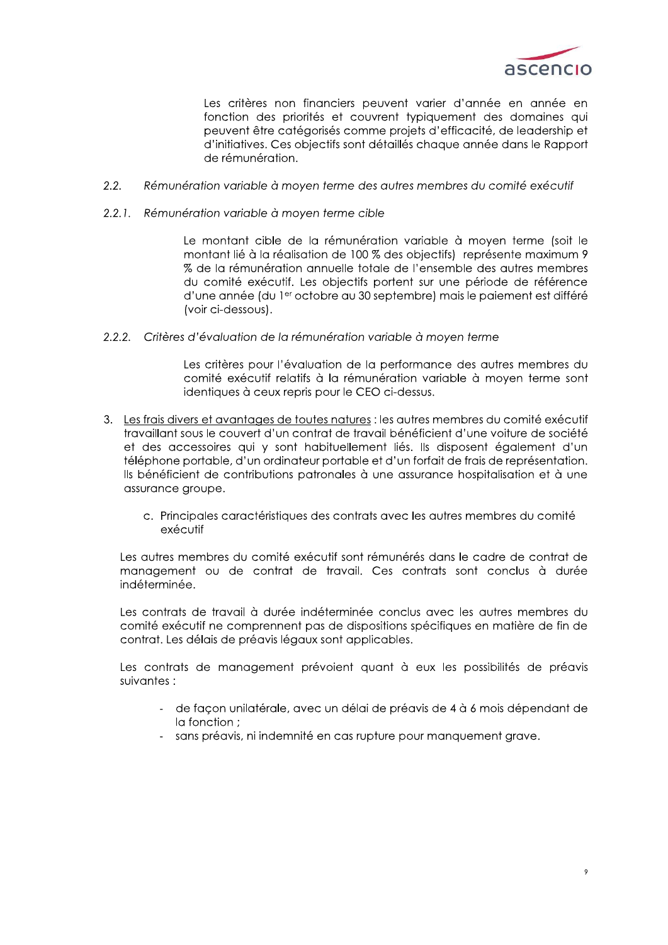

Les critères non financiers peuvent varier d'année en année en fonction des priorités et couvrent typiquement des domaines qui peuvent être catégorisés comme projets d'efficacité, de leadership et d'initiatives. Ces objectifs sont détaillés chaque année dans le Rapport de rémunération.

- $2.2.$ Rémunération variable à moyen terme des autres membres du comité exécutif
- 2.2.1. Rémunération variable à moyen terme cible

Le montant cible de la rémunération variable à moyen terme (soit le montant lié à la réalisation de 100 % des objectifs) représente maximum 9 % de la rémunération annuelle totale de l'ensemble des autres membres du comité exécutif. Les objectifs portent sur une période de référence d'une année (du 1<sup>er</sup> octobre au 30 septembre) mais le paiement est différé (voir ci-dessous).

2.2.2. Critères d'évaluation de la rémunération variable à moyen terme

Les critères pour l'évaluation de la performance des autres membres du comité exécutif relatifs à la rémunération variable à moyen terme sont identiques à ceux repris pour le CEO ci-dessus.

- 3. Les frais divers et avantages de toutes natures : les autres membres du comité exécutif travaillant sous le couvert d'un contrat de travail bénéficient d'une voiture de société et des accessoires qui y sont habituellement liés. Ils disposent également d'un téléphone portable, d'un ordinateur portable et d'un forfait de frais de représentation. Ils bénéficient de contributions patronales à une assurance hospitalisation et à une assurance groupe.
	- c. Principales caractéristiques des contrats avec les autres membres du comité exécutif

Les autres membres du comité exécutif sont rémunérés dans le cadre de contrat de management ou de contrat de travail. Ces contrats sont conclus à durée indéterminée.

Les contrats de travail à durée indéterminée conclus avec les autres membres du comité exécutif ne comprennent pas de dispositions spécifiques en matière de fin de contrat. Les délais de préavis légaux sont applicables.

Les contrats de management prévoient quant à eux les possibilités de préavis suivantes :

- de facon unilatérale, avec un délai de préavis de 4 à 6 mois dépendant de la fonction :
- sans préavis, ni indemnité en cas rupture pour manquement grave.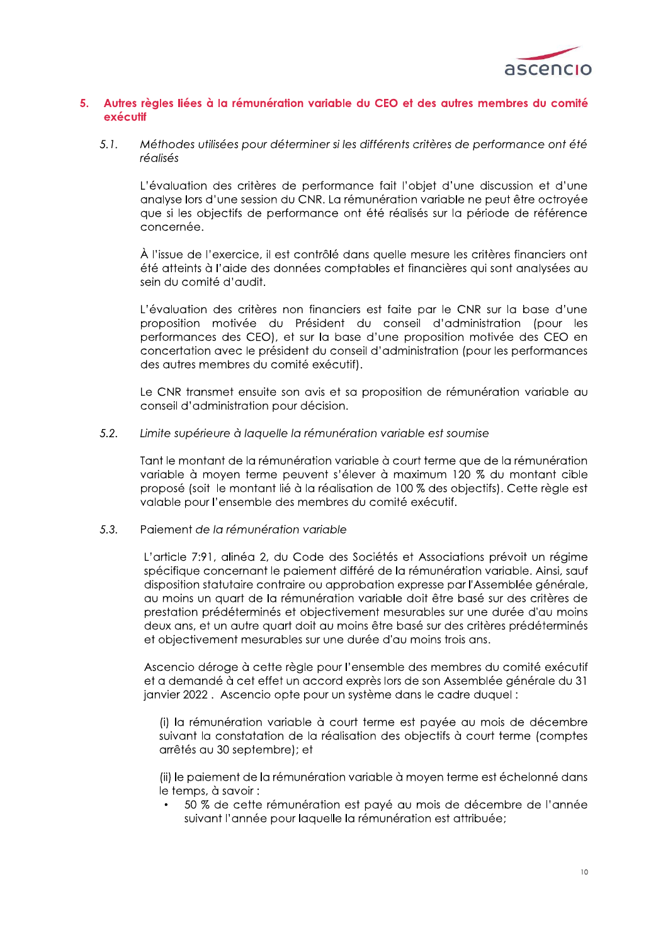

### Autres règles liées à la rémunération variable du CEO et des autres membres du comité  $5<sup>1</sup>$ exécutif

 $5.1.$ Méthodes utilisées pour déterminer si les différents critères de performance ont été réalisés

L'évaluation des critères de performance fait l'obiet d'une discussion et d'une analyse lors d'une session du CNR. La rémunération variable ne peut être octroyée que si les objectifs de performance ont été réalisés sur la période de référence concernée.

À l'issue de l'exercice, il est contrôlé dans quelle mesure les critères financiers ont été atteints à l'aide des données comptables et financières qui sont analysées au sein du comité d'audit.

L'évaluation des critères non financiers est faite par le CNR sur la base d'une proposition motivée du Président du conseil d'administration (pour les performances des CEO), et sur la base d'une proposition motivée des CEO en concertation avec le président du conseil d'administration (pour les performances des autres membres du comité exécutif).

Le CNR transmet ensuite son avis et sa proposition de rémunération variable au conseil d'administration pour décision.

#### $5.2.$ Limite supérieure à laquelle la rémunération variable est soumise

Tant le montant de la rémunération variable à court terme que de la rémunération variable à moyen terme peuvent s'élever à maximum 120 % du montant cible proposé (soit le montant lié à la réalisation de 100 % des objectifs). Cette règle est valable pour l'ensemble des membres du comité exécutif.

#### $5.3.$ Paiement de la rémunération variable

L'article 7:91, alinéa 2, du Code des Sociétés et Associations prévoit un régime spécifique concernant le paiement différé de la rémunération variable. Ainsi, sauf disposition statutaire contraire ou approbation expresse par l'Assemblée générale, au moins un auart de la rémunération variable doit être basé sur des critères de prestation prédéterminés et objectivement mesurables sur une durée d'au moins deux ans, et un autre quart doit au moins être basé sur des critères prédéterminés et objectivement mesurables sur une durée d'au moins trois ans.

Ascencio déroge à cette règle pour l'ensemble des membres du comité exécutif et a demandé à cet effet un accord exprès lors de son Assemblée générale du 31 janvier 2022. Ascencio opte pour un système dans le cadre duquel :

(i) la rémunération variable à court terme est payée au mois de décembre suivant la constatation de la réalisation des objectifs à court terme (comptes arrêtés au 30 septembre); et

(ii) le paiement de la rémunération variable à moyen terme est échelonné dans le temps, à savoir :

50 % de cette rémunération est payé au mois de décembre de l'année suivant l'année pour laquelle la rémunération est attribuée;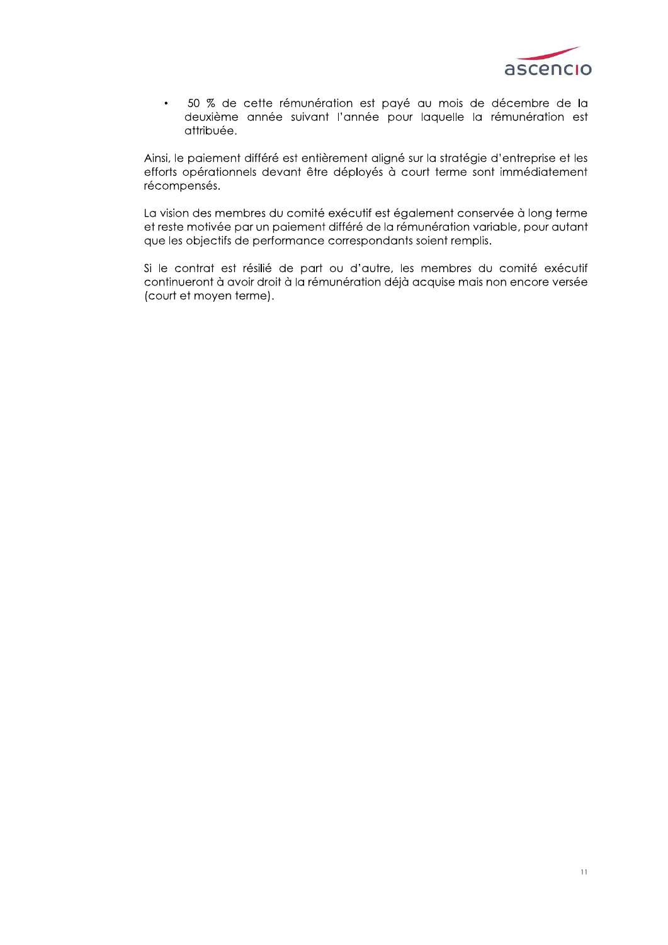

50 % de cette rémunération est payé au mois de décembre de la  $\bullet$ deuxième année suivant l'année pour laquelle la rémunération est attribuée.

Ainsi, le paiement différé est entièrement aligné sur la stratégie d'entreprise et les efforts opérationnels devant être déployés à court terme sont immédiatement récompensés.

La vision des membres du comité exécutif est également conservée à long terme et reste motivée par un paiement différé de la rémunération variable, pour autant que les objectifs de performance correspondants soient remplis.

Si le contrat est résilié de part ou d'autre, les membres du comité exécutif continueront à avoir droit à la rémunération déjà acquise mais non encore versée (court et moyen terme).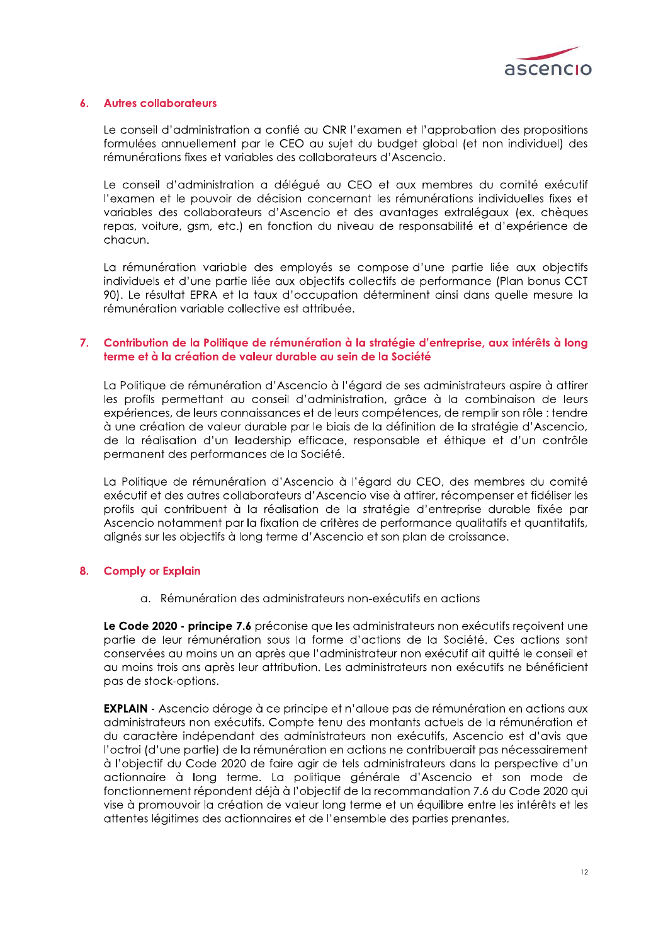

#### **Autres collaborateurs**  $\mathbf{A}$

Le conseil d'administration a confié au CNR l'examen et l'approbation des propositions formulées annuellement par le CEO au sujet du budget global (et non individuel) des rémunérations fixes et variables des collaborateurs d'Ascencio.

Le conseil d'administration a délégué au CEO et aux membres du comité exécutif l'examen et le pouvoir de décision concernant les rémunérations individuelles fixes et variables des collaborateurs d'Ascencio et des avantages extralégaux (ex. chèques repas, voiture, gsm, etc.) en fonction du niveau de responsabilité et d'expérience de chacun.

La rémunération variable des employés se compose d'une partie liée aux objectifs individuels et d'une partie liée aux objectifs collectifs de performance (Plan bonus CCT 90). Le résultat EPRA et la taux d'occupation déterminent ainsi dans quelle mesure la rémunération variable collective est attribuée.

### $7.$ Contribution de la Politique de rémunération à la stratégie d'entreprise, aux intérêts à long terme et à la création de valeur durable au sein de la Société

La Politique de rémunération d'Ascencio à l'égard de ses administrateurs aspire à attirer les profils permettant au conseil d'administration, grâce à la combinaison de leurs expériences, de leurs connaissances et de leurs compétences, de remplir son rôle : tendre à une création de valeur durable par le biais de la définition de la stratégie d'Ascencio, de la réalisation d'un leadership efficace, responsable et éthique et d'un contrôle permanent des performances de la Société.

La Politique de rémunération d'Ascencio à l'égard du CEO, des membres du comité exécutif et des autres collaborateurs d'Ascencio vise à attirer, récompenser et fidéliser les profils qui contribuent à la réalisation de la stratégie d'entreprise durable fixée par Ascencio notamment par la fixation de critères de performance qualitatifs et quantitatifs, alignés sur les objectifs à long terme d'Ascencio et son plan de croissance.

#### $8.$ **Comply or Explain**

a. Rémunération des administrateurs non-exécutifs en actions

Le Code 2020 - principe 7.6 préconise que les administrateurs non exécutifs reçoivent une partie de leur rémunération sous la forme d'actions de la Société. Ces actions sont conservées au moins un an après que l'administrateur non exécutif ait quitté le conseil et au moins trois ans après leur attribution. Les administrateurs non exécutifs ne bénéficient pas de stock-options.

**EXPLAIN** - Ascencio déroge à ce principe et n'alloue pas de rémunération en actions aux administrateurs non exécutifs. Compte tenu des montants actuels de la rémunération et du caractère indépendant des administrateurs non exécutifs, Ascencio est d'avis que l'octroi (d'une partie) de la rémunération en actions ne contribuerait pas nécessairement à l'objectif du Code 2020 de faire agir de tels administrateurs dans la perspective d'un actionnaire à long terme. La politique générale d'Ascencio et son mode de fonctionnement répondent déjà à l'objectif de la recommandation 7.6 du Code 2020 qui vise à promouvoir la création de valeur long terme et un équilibre entre les intérêts et les attentes légitimes des actionnaires et de l'ensemble des parties prenantes.